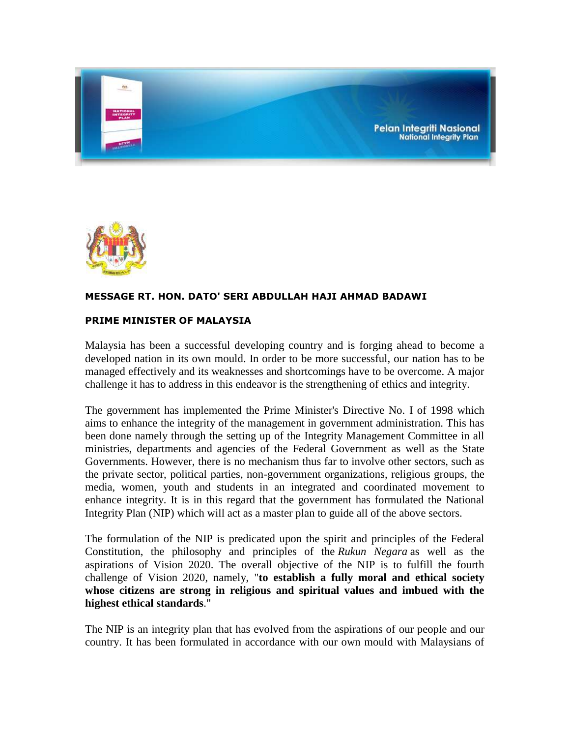



# **MESSAGE RT. HON. DATO' SERI ABDULLAH HAJI AHMAD BADAWI**

# **PRIME MINISTER OF MALAYSIA**

Malaysia has been a successful developing country and is forging ahead to become a developed nation in its own mould. In order to be more successful, our nation has to be managed effectively and its weaknesses and shortcomings have to be overcome. A major challenge it has to address in this endeavor is the strengthening of ethics and integrity.

The government has implemented the Prime Minister's Directive No. I of 1998 which aims to enhance the integrity of the management in government administration. This has been done namely through the setting up of the Integrity Management Committee in all ministries, departments and agencies of the Federal Government as well as the State Governments. However, there is no mechanism thus far to involve other sectors, such as the private sector, political parties, non-government organizations, religious groups, the media, women, youth and students in an integrated and coordinated movement to enhance integrity. It is in this regard that the government has formulated the National Integrity Plan (NIP) which will act as a master plan to guide all of the above sectors.

The formulation of the NIP is predicated upon the spirit and principles of the Federal Constitution, the philosophy and principles of the *Rukun Negara* as well as the aspirations of Vision 2020. The overall objective of the NIP is to fulfill the fourth challenge of Vision 2020, namely, "**to establish a fully moral and ethical society whose citizens are strong in religious and spiritual values and imbued with the highest ethical standards**."

The NIP is an integrity plan that has evolved from the aspirations of our people and our country. It has been formulated in accordance with our own mould with Malaysians of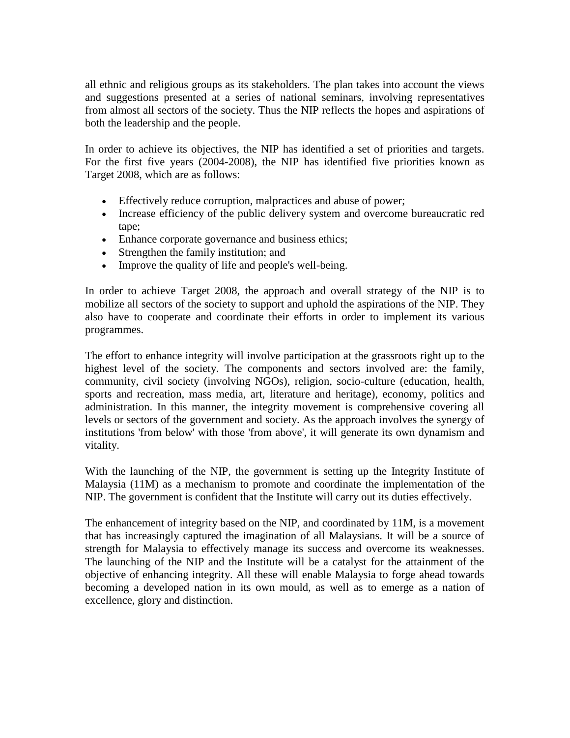all ethnic and religious groups as its stakeholders. The plan takes into account the views and suggestions presented at a series of national seminars, involving representatives from almost all sectors of the society. Thus the NIP reflects the hopes and aspirations of both the leadership and the people.

In order to achieve its objectives, the NIP has identified a set of priorities and targets. For the first five years (2004-2008), the NIP has identified five priorities known as Target 2008, which are as follows:

- Effectively reduce corruption, malpractices and abuse of power;
- Increase efficiency of the public delivery system and overcome bureaucratic red tape;
- Enhance corporate governance and business ethics;
- Strengthen the family institution; and
- Improve the quality of life and people's well-being.

In order to achieve Target 2008, the approach and overall strategy of the NIP is to mobilize all sectors of the society to support and uphold the aspirations of the NIP. They also have to cooperate and coordinate their efforts in order to implement its various programmes.

The effort to enhance integrity will involve participation at the grassroots right up to the highest level of the society. The components and sectors involved are: the family, community, civil society (involving NGOs), religion, socio-culture (education, health, sports and recreation, mass media, art, literature and heritage), economy, politics and administration. In this manner, the integrity movement is comprehensive covering all levels or sectors of the government and society. As the approach involves the synergy of institutions 'from below' with those 'from above', it will generate its own dynamism and vitality.

With the launching of the NIP, the government is setting up the Integrity Institute of Malaysia (11M) as a mechanism to promote and coordinate the implementation of the NIP. The government is confident that the Institute will carry out its duties effectively.

The enhancement of integrity based on the NIP, and coordinated by 11M, is a movement that has increasingly captured the imagination of all Malaysians. It will be a source of strength for Malaysia to effectively manage its success and overcome its weaknesses. The launching of the NIP and the Institute will be a catalyst for the attainment of the objective of enhancing integrity. All these will enable Malaysia to forge ahead towards becoming a developed nation in its own mould, as well as to emerge as a nation of excellence, glory and distinction.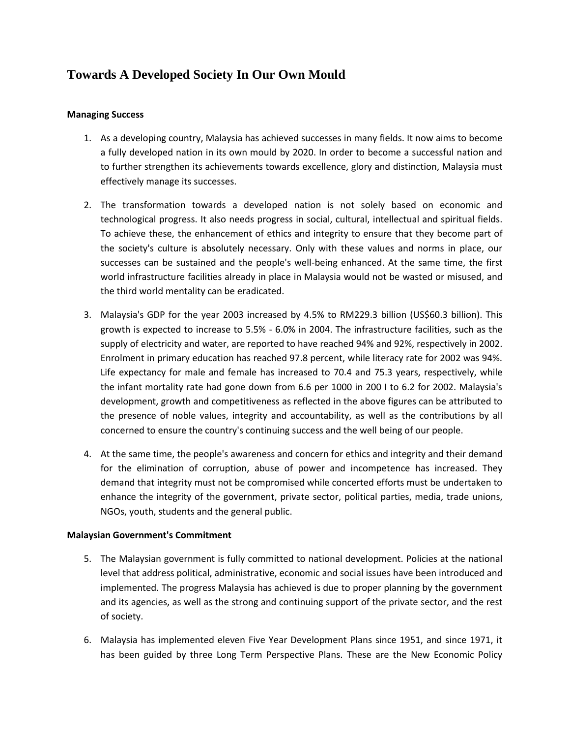# **Towards A Developed Society In Our Own Mould**

## **Managing Success**

- 1. As a developing country, Malaysia has achieved successes in many fields. It now aims to become a fully developed nation in its own mould by 2020. In order to become a successful nation and to further strengthen its achievements towards excellence, glory and distinction, Malaysia must effectively manage its successes.
- 2. The transformation towards a developed nation is not solely based on economic and technological progress. It also needs progress in social, cultural, intellectual and spiritual fields. To achieve these, the enhancement of ethics and integrity to ensure that they become part of the society's culture is absolutely necessary. Only with these values and norms in place, our successes can be sustained and the people's well-being enhanced. At the same time, the first world infrastructure facilities already in place in Malaysia would not be wasted or misused, and the third world mentality can be eradicated.
- 3. Malaysia's GDP for the year 2003 increased by 4.5% to RM229.3 billion (US\$60.3 billion). This growth is expected to increase to 5.5% - 6.0% in 2004. The infrastructure facilities, such as the supply of electricity and water, are reported to have reached 94% and 92%, respectively in 2002. Enrolment in primary education has reached 97.8 percent, while literacy rate for 2002 was 94%. Life expectancy for male and female has increased to 70.4 and 75.3 years, respectively, while the infant mortality rate had gone down from 6.6 per 1000 in 200 I to 6.2 for 2002. Malaysia's development, growth and competitiveness as reflected in the above figures can be attributed to the presence of noble values, integrity and accountability, as well as the contributions by all concerned to ensure the country's continuing success and the well being of our people.
- 4. At the same time, the people's awareness and concern for ethics and integrity and their demand for the elimination of corruption, abuse of power and incompetence has increased. They demand that integrity must not be compromised while concerted efforts must be undertaken to enhance the integrity of the government, private sector, political parties, media, trade unions, NGOs, youth, students and the general public.

#### **Malaysian Government's Commitment**

- 5. The Malaysian government is fully committed to national development. Policies at the national level that address political, administrative, economic and social issues have been introduced and implemented. The progress Malaysia has achieved is due to proper planning by the government and its agencies, as well as the strong and continuing support of the private sector, and the rest of society.
- 6. Malaysia has implemented eleven Five Year Development Plans since 1951, and since 1971, it has been guided by three Long Term Perspective Plans. These are the New Economic Policy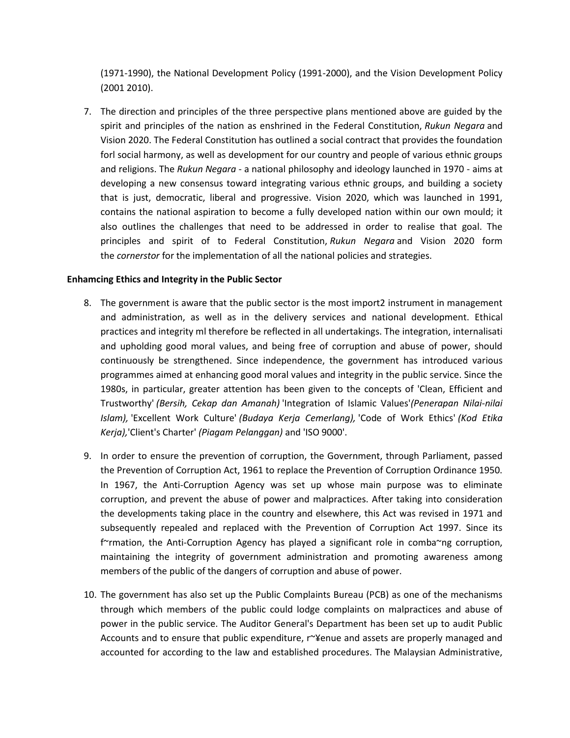(1971-1990), the National Development Policy (1991-2000), and the Vision Development Policy (2001 2010).

7. The direction and principles of the three perspective plans mentioned above are guided by the spirit and principles of the nation as enshrined in the Federal Constitution, *Rukun Negara* and Vision 2020. The Federal Constitution has outlined a social contract that provides the foundation forl social harmony, as well as development for our country and people of various ethnic groups and religions. The *Rukun Negara* - a national philosophy and ideology launched in 1970 - aims at developing a new consensus toward integrating various ethnic groups, and building a society that is just, democratic, liberal and progressive. Vision 2020, which was launched in 1991, contains the national aspiration to become a fully developed nation within our own mould; it also outlines the challenges that need to be addressed in order to realise that goal. The principles and spirit of to Federal Constitution, *Rukun Negara* and Vision 2020 form the *cornerstor* for the implementation of all the national policies and strategies.

#### **Enhamcing Ethics and Integrity in the Public Sector**

- 8. The government is aware that the public sector is the most import2 instrument in management and administration, as well as in the delivery services and national development. Ethical practices and integrity ml therefore be reflected in all undertakings. The integration, internalisati and upholding good moral values, and being free of corruption and abuse of power, should continuously be strengthened. Since independence, the government has introduced various programmes aimed at enhancing good moral values and integrity in the public service. Since the 1980s, in particular, greater attention has been given to the concepts of 'Clean, Efficient and Trustworthy' *(Bersih, Cekap dan Amanah)* 'Integration of Islamic Values'*(Penerapan Nilai-nilai Islam),* 'Excellent Work Culture' *(Budaya Kerja Cemerlang),* 'Code of Work Ethics' *(Kod Etika Kerja),*'Client's Charter' *(Piagam Pelanggan)* and 'ISO 9000'.
- 9. In order to ensure the prevention of corruption, the Government, through Parliament, passed the Prevention of Corruption Act, 1961 to replace the Prevention of Corruption Ordinance 1950. In 1967, the Anti-Corruption Agency was set up whose main purpose was to eliminate corruption, and prevent the abuse of power and malpractices. After taking into consideration the developments taking place in the country and elsewhere, this Act was revised in 1971 and subsequently repealed and replaced with the Prevention of Corruption Act 1997. Since its f~rmation, the Anti-Corruption Agency has played a significant role in comba~ng corruption, maintaining the integrity of government administration and promoting awareness among members of the public of the dangers of corruption and abuse of power.
- 10. The government has also set up the Public Complaints Bureau (PCB) as one of the mechanisms through which members of the public could lodge complaints on malpractices and abuse of power in the public service. The Auditor General's Department has been set up to audit Public Accounts and to ensure that public expenditure, r~¥enue and assets are properly managed and accounted for according to the law and established procedures. The Malaysian Administrative,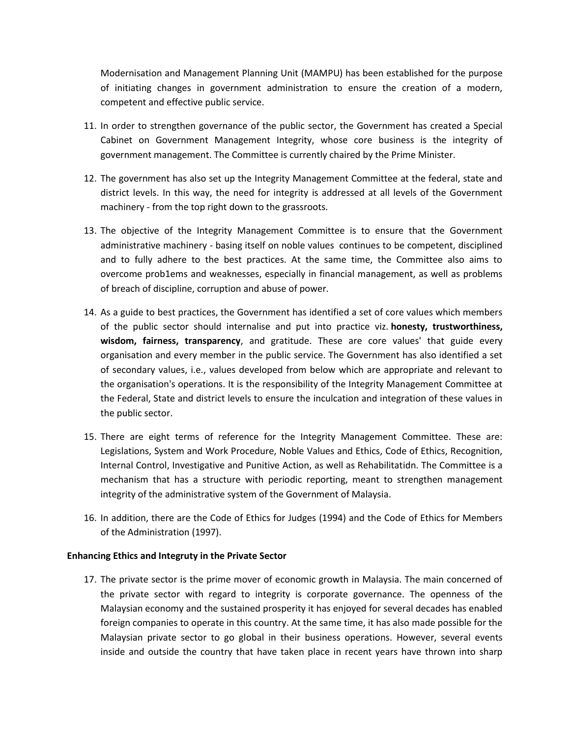Modernisation and Management Planning Unit (MAMPU) has been established for the purpose of initiating changes in government administration to ensure the creation of a modern, competent and effective public service.

- 11. In order to strengthen governance of the public sector, the Government has created a Special Cabinet on Government Management Integrity, whose core business is the integrity of government management. The Committee is currently chaired by the Prime Minister.
- 12. The government has also set up the Integrity Management Committee at the federal, state and district levels. In this way, the need for integrity is addressed at all levels of the Government machinery - from the top right down to the grassroots.
- 13. The objective of the Integrity Management Committee is to ensure that the Government administrative machinery - basing itself on noble values continues to be competent, disciplined and to fully adhere to the best practices. At the same time, the Committee also aims to overcome prob1ems and weaknesses, especially in financial management, as well as problems of breach of discipline, corruption and abuse of power.
- 14. As a guide to best practices, the Government has identified a set of core values which members of the public sector should internalise and put into practice viz. **honesty, trustworthiness, wisdom, fairness, transparency**, and gratitude. These are core values' that guide every organisation and every member in the public service. The Government has also identified a set of secondary values, i.e., values developed from below which are appropriate and relevant to the organisation's operations. It is the responsibility of the Integrity Management Committee at the Federal, State and district levels to ensure the inculcation and integration of these values in the public sector.
- 15. There are eight terms of reference for the Integrity Management Committee. These are: Legislations, System and Work Procedure, Noble Values and Ethics, Code of Ethics, Recognition, Internal Control, Investigative and Punitive Action, as well as Rehabilitatidn. The Committee is a mechanism that has a structure with periodic reporting, meant to strengthen management integrity of the administrative system of the Government of Malaysia.
- 16. In addition, there are the Code of Ethics for Judges (1994) and the Code of Ethics for Members of the Administration (1997).

#### **Enhancing Ethics and Integruty in the Private Sector**

17. The private sector is the prime mover of economic growth in Malaysia. The main concerned of the private sector with regard to integrity is corporate governance. The openness of the Malaysian economy and the sustained prosperity it has enjoyed for several decades has enabled foreign companies to operate in this country. At the same time, it has also made possible for the Malaysian private sector to go global in their business operations. However, several events inside and outside the country that have taken place in recent years have thrown into sharp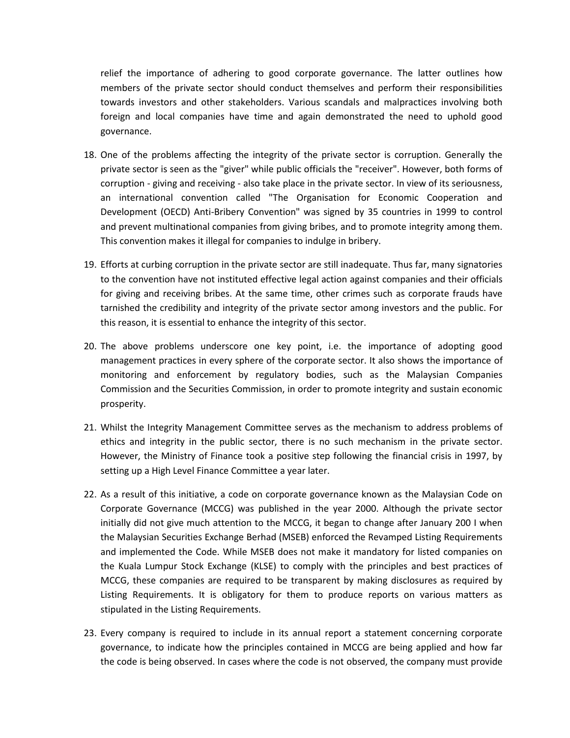relief the importance of adhering to good corporate governance. The latter outlines how members of the private sector should conduct themselves and perform their responsibilities towards investors and other stakeholders. Various scandals and malpractices involving both foreign and local companies have time and again demonstrated the need to uphold good governance.

- 18. One of the problems affecting the integrity of the private sector is corruption. Generally the private sector is seen as the "giver" while public officials the "receiver". However, both forms of corruption - giving and receiving - also take place in the private sector. In view of its seriousness, an international convention called "The Organisation for Economic Cooperation and Development (OECD) Anti-Bribery Convention" was signed by 35 countries in 1999 to control and prevent multinational companies from giving bribes, and to promote integrity among them. This convention makes it illegal for companies to indulge in bribery.
- 19. Efforts at curbing corruption in the private sector are still inadequate. Thus far, many signatories to the convention have not instituted effective legal action against companies and their officials for giving and receiving bribes. At the same time, other crimes such as corporate frauds have tarnished the credibility and integrity of the private sector among investors and the public. For this reason, it is essential to enhance the integrity of this sector.
- 20. The above problems underscore one key point, i.e. the importance of adopting good management practices in every sphere of the corporate sector. It also shows the importance of monitoring and enforcement by regulatory bodies, such as the Malaysian Companies Commission and the Securities Commission, in order to promote integrity and sustain economic prosperity.
- 21. Whilst the Integrity Management Committee serves as the mechanism to address problems of ethics and integrity in the public sector, there is no such mechanism in the private sector. However, the Ministry of Finance took a positive step following the financial crisis in 1997, by setting up a High Level Finance Committee a year later.
- 22. As a result of this initiative, a code on corporate governance known as the Malaysian Code on Corporate Governance (MCCG) was published in the year 2000. Although the private sector initially did not give much attention to the MCCG, it began to change after January 200 I when the Malaysian Securities Exchange Berhad (MSEB) enforced the Revamped Listing Requirements and implemented the Code. While MSEB does not make it mandatory for listed companies on the Kuala Lumpur Stock Exchange (KLSE) to comply with the principles and best practices of MCCG, these companies are required to be transparent by making disclosures as required by Listing Requirements. It is obligatory for them to produce reports on various matters as stipulated in the Listing Requirements.
- 23. Every company is required to include in its annual report a statement concerning corporate governance, to indicate how the principles contained in MCCG are being applied and how far the code is being observed. In cases where the code is not observed, the company must provide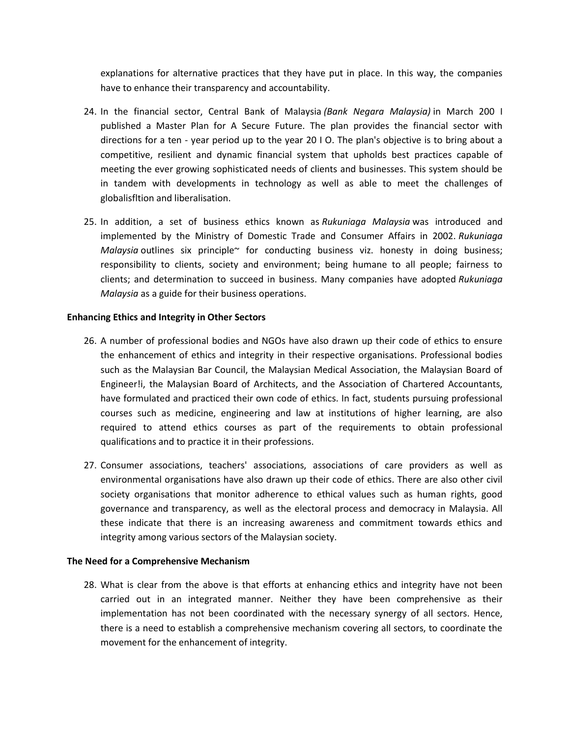explanations for alternative practices that they have put in place. In this way, the companies have to enhance their transparency and accountability.

- 24. In the financial sector, Central Bank of Malaysia *(Bank Negara Malaysia)* in March 200 I published a Master Plan for A Secure Future. The plan provides the financial sector with directions for a ten - year period up to the year 20 I O. The plan's objective is to bring about a competitive, resilient and dynamic financial system that upholds best practices capable of meeting the ever growing sophisticated needs of clients and businesses. This system should be in tandem with developments in technology as well as able to meet the challenges of globalisfltion and liberalisation.
- 25. In addition, a set of business ethics known as *Rukuniaga Malaysia* was introduced and implemented by the Ministry of Domestic Trade and Consumer Affairs in 2002. *Rukuniaga Malaysia* outlines six principle~ for conducting business viz. honesty in doing business; responsibility to clients, society and environment; being humane to all people; fairness to clients; and determination to succeed in business. Many companies have adopted *Rukuniaga Malaysia* as a guide for their business operations.

#### **Enhancing Ethics and Integrity in Other Sectors**

- 26. A number of professional bodies and NGOs have also drawn up their code of ethics to ensure the enhancement of ethics and integrity in their respective organisations. Professional bodies such as the Malaysian Bar Council, the Malaysian Medical Association, the Malaysian Board of Engineer!i, the Malaysian Board of Architects, and the Association of Chartered Accountants, have formulated and practiced their own code of ethics. In fact, students pursuing professional courses such as medicine, engineering and law at institutions of higher learning, are also required to attend ethics courses as part of the requirements to obtain professional qualifications and to practice it in their professions.
- 27. Consumer associations, teachers' associations, associations of care providers as well as environmental organisations have also drawn up their code of ethics. There are also other civil society organisations that monitor adherence to ethical values such as human rights, good governance and transparency, as well as the electoral process and democracy in Malaysia. All these indicate that there is an increasing awareness and commitment towards ethics and integrity among various sectors of the Malaysian society.

#### **The Need for a Comprehensive Mechanism**

28. What is clear from the above is that efforts at enhancing ethics and integrity have not been carried out in an integrated manner. Neither they have been comprehensive as their implementation has not been coordinated with the necessary synergy of all sectors. Hence, there is a need to establish a comprehensive mechanism covering all sectors, to coordinate the movement for the enhancement of integrity.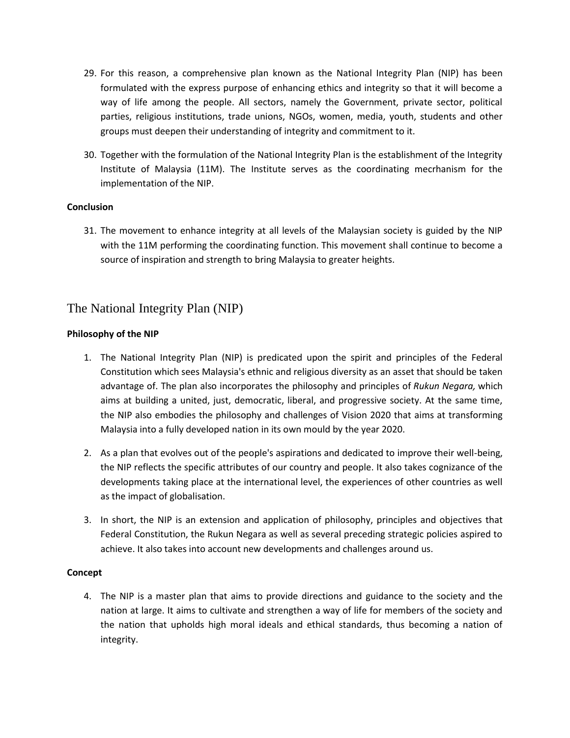- 29. For this reason, a comprehensive plan known as the National Integrity Plan (NIP) has been formulated with the express purpose of enhancing ethics and integrity so that it will become a way of life among the people. All sectors, namely the Government, private sector, political parties, religious institutions, trade unions, NGOs, women, media, youth, students and other groups must deepen their understanding of integrity and commitment to it.
- 30. Together with the formulation of the National Integrity Plan is the establishment of the Integrity Institute of Malaysia (11M). The Institute serves as the coordinating mecrhanism for the implementation of the NIP.

# **Conclusion**

31. The movement to enhance integrity at all levels of the Malaysian society is guided by the NIP with the 11M performing the coordinating function. This movement shall continue to become a source of inspiration and strength to bring Malaysia to greater heights.

# The National Integrity Plan (NIP)

# **Philosophy of the NIP**

- 1. The National Integrity Plan (NIP) is predicated upon the spirit and principles of the Federal Constitution which sees Malaysia's ethnic and religious diversity as an asset that should be taken advantage of. The plan also incorporates the philosophy and principles of *Rukun Negara,* which aims at building a united, just, democratic, liberal, and progressive society. At the same time, the NIP also embodies the philosophy and challenges of Vision 2020 that aims at transforming Malaysia into a fully developed nation in its own mould by the year 2020.
- 2. As a plan that evolves out of the people's aspirations and dedicated to improve their well-being, the NIP reflects the specific attributes of our country and people. It also takes cognizance of the developments taking place at the international level, the experiences of other countries as well as the impact of globalisation.
- 3. In short, the NIP is an extension and application of philosophy, principles and objectives that Federal Constitution, the Rukun Negara as well as several preceding strategic policies aspired to achieve. It also takes into account new developments and challenges around us.

#### **Concept**

4. The NIP is a master plan that aims to provide directions and guidance to the society and the nation at large. It aims to cultivate and strengthen a way of life for members of the society and the nation that upholds high moral ideals and ethical standards, thus becoming a nation of integrity.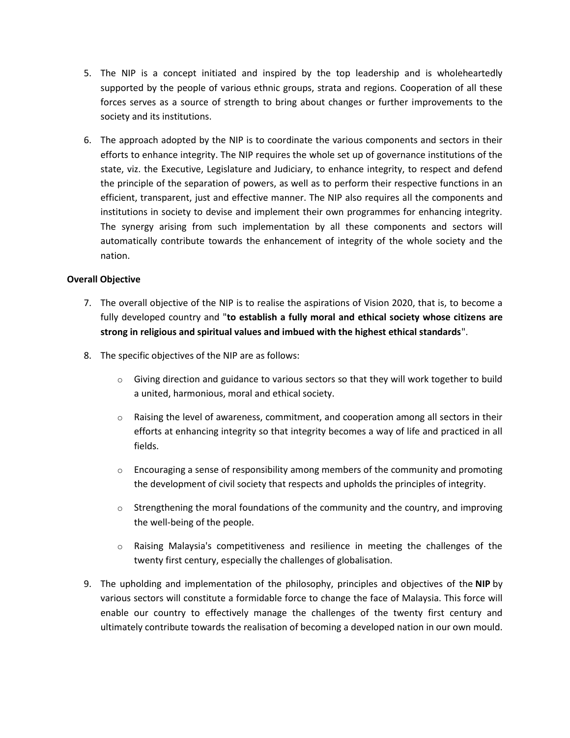- 5. The NIP is a concept initiated and inspired by the top leadership and is wholeheartedly supported by the people of various ethnic groups, strata and regions. Cooperation of all these forces serves as a source of strength to bring about changes or further improvements to the society and its institutions.
- 6. The approach adopted by the NIP is to coordinate the various components and sectors in their efforts to enhance integrity. The NIP requires the whole set up of governance institutions of the state, viz. the Executive, Legislature and Judiciary, to enhance integrity, to respect and defend the principle of the separation of powers, as well as to perform their respective functions in an efficient, transparent, just and effective manner. The NIP also requires all the components and institutions in society to devise and implement their own programmes for enhancing integrity. The synergy arising from such implementation by all these components and sectors will automatically contribute towards the enhancement of integrity of the whole society and the nation.

# **Overall Objective**

- 7. The overall objective of the NIP is to realise the aspirations of Vision 2020, that is, to become a fully developed country and "**to establish a fully moral and ethical society whose citizens are strong in religious and spiritual values and imbued with the highest ethical standards**".
- 8. The specific objectives of the NIP are as follows:
	- o Giving direction and guidance to various sectors so that they will work together to build a united, harmonious, moral and ethical society.
	- $\circ$  Raising the level of awareness, commitment, and cooperation among all sectors in their efforts at enhancing integrity so that integrity becomes a way of life and practiced in all fields.
	- $\circ$  Encouraging a sense of responsibility among members of the community and promoting the development of civil society that respects and upholds the principles of integrity.
	- $\circ$  Strengthening the moral foundations of the community and the country, and improving the well-being of the people.
	- $\circ$  Raising Malaysia's competitiveness and resilience in meeting the challenges of the twenty first century, especially the challenges of globalisation.
- 9. The upholding and implementation of the philosophy, principles and objectives of the **NIP** by various sectors will constitute a formidable force to change the face of Malaysia. This force will enable our country to effectively manage the challenges of the twenty first century and ultimately contribute towards the realisation of becoming a developed nation in our own mould.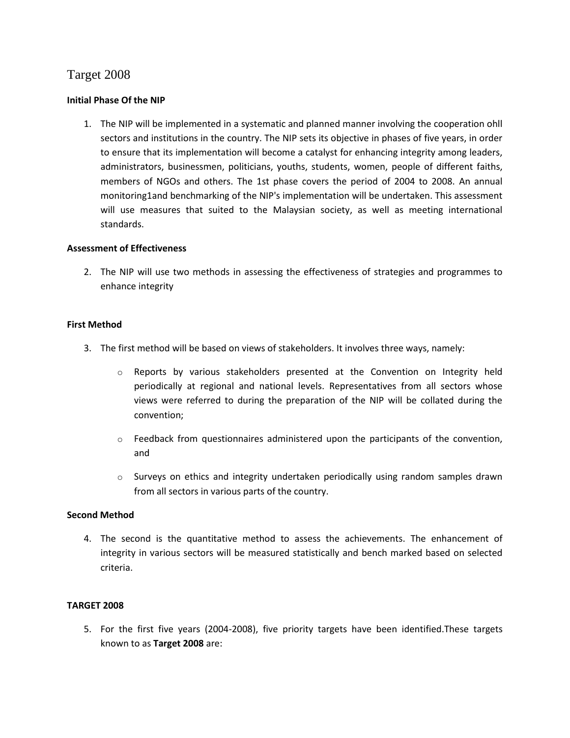# Target 2008

## **Initial Phase Of the NIP**

1. The NIP will be implemented in a systematic and planned manner involving the cooperation ohll sectors and institutions in the country. The NIP sets its objective in phases of five years, in order to ensure that its implementation will become a catalyst for enhancing integrity among leaders, administrators, businessmen, politicians, youths, students, women, people of different faiths, members of NGOs and others. The 1st phase covers the period of 2004 to 2008. An annual monitoring1and benchmarking of the NIP's implementation will be undertaken. This assessment will use measures that suited to the Malaysian society, as well as meeting international standards.

#### **Assessment of Effectiveness**

2. The NIP will use two methods in assessing the effectiveness of strategies and programmes to enhance integrity

#### **First Method**

- 3. The first method will be based on views of stakeholders. It involves three ways, namely:
	- o Reports by various stakeholders presented at the Convention on Integrity held periodically at regional and national levels. Representatives from all sectors whose views were referred to during the preparation of the NIP will be collated during the convention;
	- $\circ$  Feedback from questionnaires administered upon the participants of the convention, and
	- $\circ$  Surveys on ethics and integrity undertaken periodically using random samples drawn from all sectors in various parts of the country.

### **Second Method**

4. The second is the quantitative method to assess the achievements. The enhancement of integrity in various sectors will be measured statistically and bench marked based on selected criteria.

#### **TARGET 2008**

5. For the first five years (2004-2008), five priority targets have been identified.These targets known to as **Target 2008** are: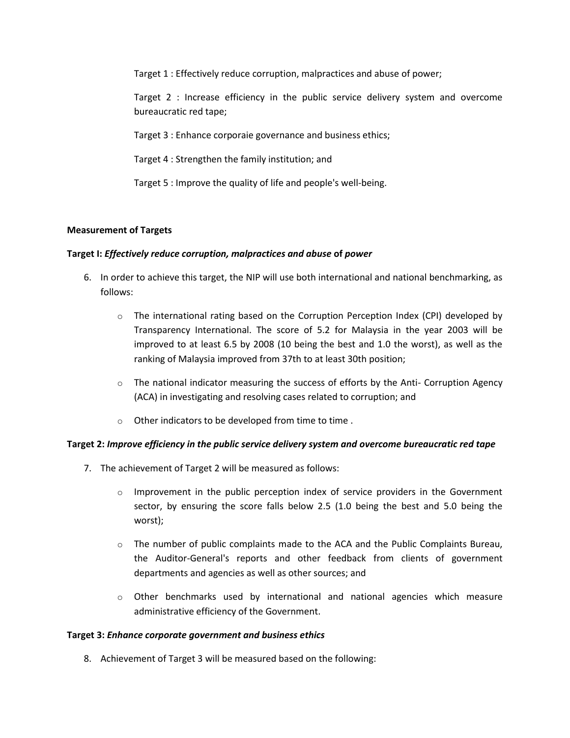Target 1 : Effectively reduce corruption, malpractices and abuse of power;

Target 2 : Increase efficiency in the public service delivery system and overcome bureaucratic red tape;

Target 3 : Enhance corporaie governance and business ethics;

Target 4 : Strengthen the family institution; and

Target 5 : Improve the quality of life and people's well-being.

#### **Measurement of Targets**

#### **Target I:** *Effectively reduce corruption, malpractices and abuse* **of** *power*

- 6. In order to achieve this target, the NIP will use both international and national benchmarking, as follows:
	- $\circ$  The international rating based on the Corruption Perception Index (CPI) developed by Transparency International. The score of 5.2 for Malaysia in the year 2003 will be improved to at least 6.5 by 2008 (10 being the best and 1.0 the worst), as well as the ranking of Malaysia improved from 37th to at least 30th position;
	- $\circ$  The national indicator measuring the success of efforts by the Anti- Corruption Agency (ACA) in investigating and resolving cases related to corruption; and
	- o Other indicators to be developed from time to time .

#### **Target 2:** *Improve efficiency in the public service delivery system and overcome bureaucratic red tape*

- 7. The achievement of Target 2 will be measured as follows:
	- $\circ$  Improvement in the public perception index of service providers in the Government sector, by ensuring the score falls below 2.5 (1.0 being the best and 5.0 being the worst);
	- $\circ$  The number of public complaints made to the ACA and the Public Complaints Bureau, the Auditor-General's reports and other feedback from clients of government departments and agencies as well as other sources; and
	- $\circ$  Other benchmarks used by international and national agencies which measure administrative efficiency of the Government.

#### **Target 3:** *Enhance corporate government and business ethics*

8. Achievement of Target 3 will be measured based on the following: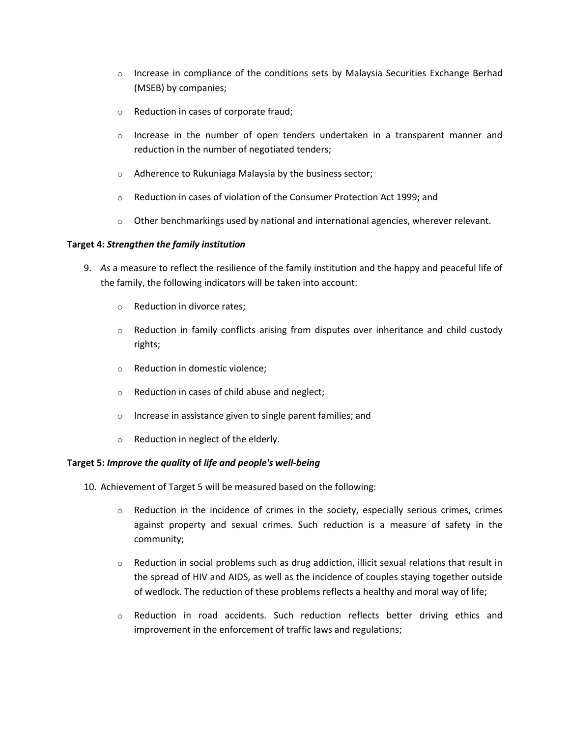- $\circ$  Increase in compliance of the conditions sets by Malaysia Securities Exchange Berhad (MSEB) by companies;
- o Reduction in cases of corporate fraud;
- $\circ$  Increase in the number of open tenders undertaken in a transparent manner and reduction in the number of negotiated tenders;
- o Adherence to Rukuniaga Malaysia by the business sector;
- o Reduction in cases of violation of the Consumer Protection Act 1999; and
- $\circ$  Other benchmarkings used by national and international agencies, wherever relevant.

#### **Target 4:** *Strengthen the family institution*

- 9. *As* a measure to reflect the resilience of the family institution and the happy and peaceful life of the family, the following indicators will be taken into account:
	- o Reduction in divorce rates;
	- $\circ$  Reduction in family conflicts arising from disputes over inheritance and child custody rights;
	- o Reduction in domestic violence;
	- o Reduction in cases of child abuse and neglect;
	- o Increase in assistance given to single parent families; and
	- o Reduction in neglect of the elderly.

#### **Target 5:** *Improve the quality* **of** *life and people's well-being*

- 10. Achievement of Target 5 will be measured based on the following:
	- $\circ$  Reduction in the incidence of crimes in the society, especially serious crimes, crimes against property and sexual crimes. Such reduction is a measure of safety in the community;
	- $\circ$  Reduction in social problems such as drug addiction, illicit sexual relations that result in the spread of HIV and AIDS, as well as the incidence of couples staying together outside of wedlock. The reduction of these problems reflects a healthy and moral way of life;
	- o Reduction in road accidents. Such reduction reflects better driving ethics and improvement in the enforcement of traffic laws and regulations;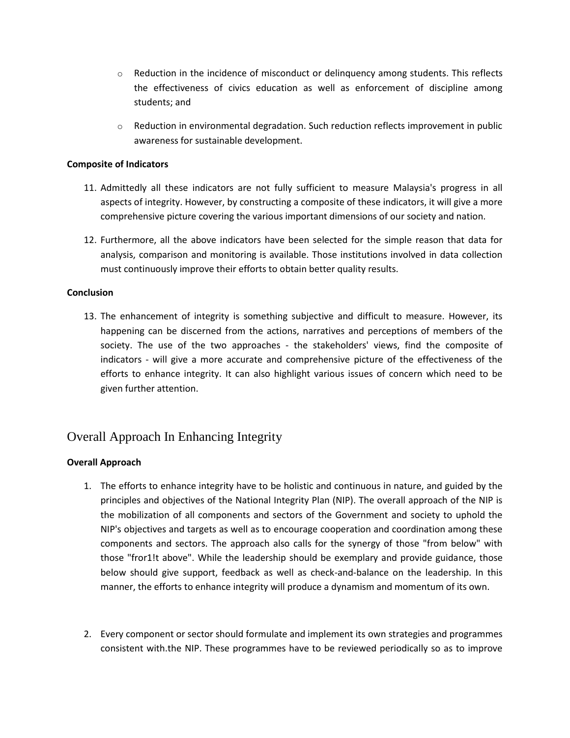- $\circ$  Reduction in the incidence of misconduct or delinguency among students. This reflects the effectiveness of civics education as well as enforcement of discipline among students; and
- o Reduction in environmental degradation. Such reduction reflects improvement in public awareness for sustainable development.

## **Composite of Indicators**

- 11. Admittedly all these indicators are not fully sufficient to measure Malaysia's progress in all aspects of integrity. However, by constructing a composite of these indicators, it will give a more comprehensive picture covering the various important dimensions of our society and nation.
- 12. Furthermore, all the above indicators have been selected for the simple reason that data for analysis, comparison and monitoring is available. Those institutions involved in data collection must continuously improve their efforts to obtain better quality results.

# **Conclusion**

13. The enhancement of integrity is something subjective and difficult to measure. However, its happening can be discerned from the actions, narratives and perceptions of members of the society. The use of the two approaches - the stakeholders' views, find the composite of indicators - will give a more accurate and comprehensive picture of the effectiveness of the efforts to enhance integrity. It can also highlight various issues of concern which need to be given further attention.

# Overall Approach In Enhancing Integrity

# **Overall Approach**

- 1. The efforts to enhance integrity have to be holistic and continuous in nature, and guided by the principles and objectives of the National Integrity Plan (NIP). The overall approach of the NIP is the mobilization of all components and sectors of the Government and society to uphold the NIP's objectives and targets as well as to encourage cooperation and coordination among these components and sectors. The approach also calls for the synergy of those "from below" with those "fror1!t above". While the leadership should be exemplary and provide guidance, those below should give support, feedback as well as check-and-balance on the leadership. In this manner, the efforts to enhance integrity will produce a dynamism and momentum of its own.
- 2. Every component or sector should formulate and implement its own strategies and programmes consistent with.the NIP. These programmes have to be reviewed periodically so as to improve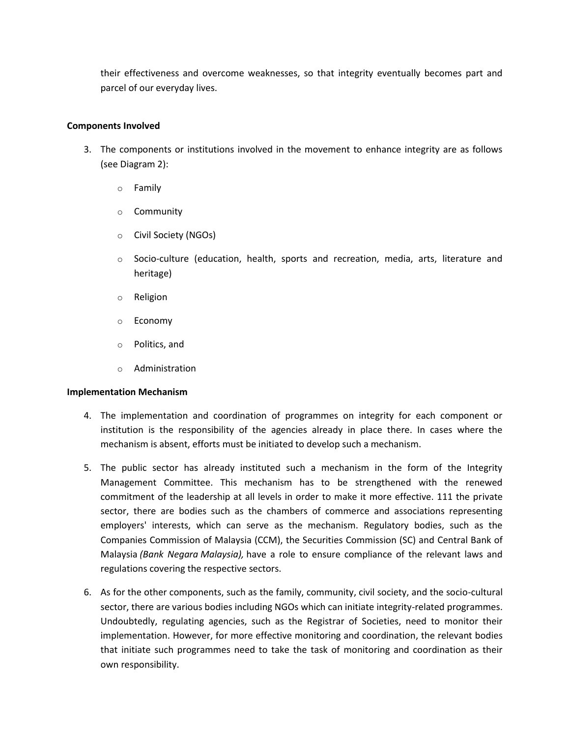their effectiveness and overcome weaknesses, so that integrity eventually becomes part and parcel of our everyday lives.

## **Components Involved**

- 3. The components or institutions involved in the movement to enhance integrity are as follows (see Diagram 2):
	- o Family
	- o Community
	- o Civil Society (NGOs)
	- o Socio-culture (education, health, sports and recreation, media, arts, literature and heritage)
	- o Religion
	- o Economy
	- o Politics, and
	- o Administration

#### **Implementation Mechanism**

- 4. The implementation and coordination of programmes on integrity for each component or institution is the responsibility of the agencies already in place there. In cases where the mechanism is absent, efforts must be initiated to develop such a mechanism.
- 5. The public sector has already instituted such a mechanism in the form of the Integrity Management Committee. This mechanism has to be strengthened with the renewed commitment of the leadership at all levels in order to make it more effective. 111 the private sector, there are bodies such as the chambers of commerce and associations representing employers' interests, which can serve as the mechanism. Regulatory bodies, such as the Companies Commission of Malaysia (CCM), the Securities Commission (SC) and Central Bank of Malaysia *(Bank Negara Malaysia),* have a role to ensure compliance of the relevant laws and regulations covering the respective sectors.
- 6. As for the other components, such as the family, community, civil society, and the socio-cultural sector, there are various bodies including NGOs which can initiate integrity-related programmes. Undoubtedly, regulating agencies, such as the Registrar of Societies, need to monitor their implementation. However, for more effective monitoring and coordination, the relevant bodies that initiate such programmes need to take the task of monitoring and coordination as their own responsibility.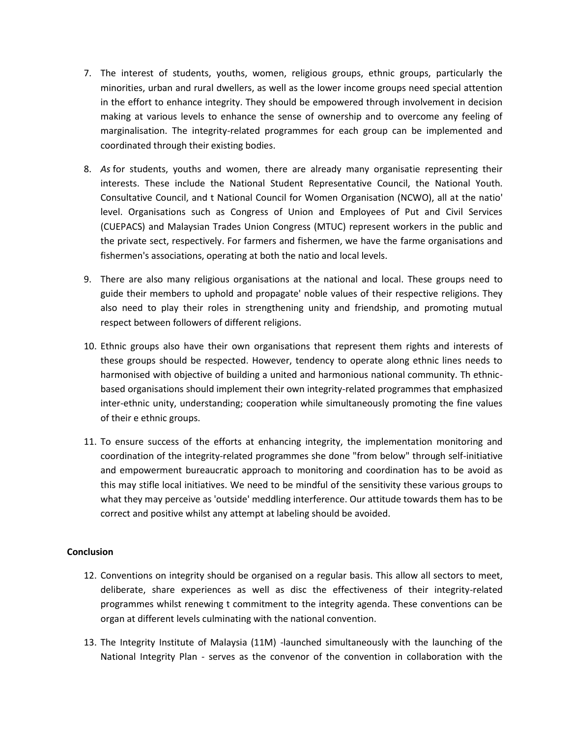- 7. The interest of students, youths, women, religious groups, ethnic groups, particularly the minorities, urban and rural dwellers, as well as the lower income groups need special attention in the effort to enhance integrity. They should be empowered through involvement in decision making at various levels to enhance the sense of ownership and to overcome any feeling of marginalisation. The integrity-related programmes for each group can be implemented and coordinated through their existing bodies.
- 8. *As* for students, youths and women, there are already many organisatie representing their interests. These include the National Student Representative Council, the National Youth. Consultative Council, and t National Council for Women Organisation (NCWO), all at the natio' level. Organisations such as Congress of Union and Employees of Put and Civil Services (CUEPACS) and Malaysian Trades Union Congress (MTUC) represent workers in the public and the private sect, respectively. For farmers and fishermen, we have the farme organisations and fishermen's associations, operating at both the natio and local levels.
- 9. There are also many religious organisations at the national and local. These groups need to guide their members to uphold and propagate' noble values of their respective religions. They also need to play their roles in strengthening unity and friendship, and promoting mutual respect between followers of different religions.
- 10. Ethnic groups also have their own organisations that represent them rights and interests of these groups should be respected. However, tendency to operate along ethnic lines needs to harmonised with objective of building a united and harmonious national community. Th ethnicbased organisations should implement their own integrity-related programmes that emphasized inter-ethnic unity, understanding; cooperation while simultaneously promoting the fine values of their e ethnic groups.
- 11. To ensure success of the efforts at enhancing integrity, the implementation monitoring and coordination of the integrity-related programmes she done "from below" through self-initiative and empowerment bureaucratic approach to monitoring and coordination has to be avoid as this may stifle local initiatives. We need to be mindful of the sensitivity these various groups to what they may perceive as 'outside' meddling interference. Our attitude towards them has to be correct and positive whilst any attempt at labeling should be avoided.

#### **Conclusion**

- 12. Conventions on integrity should be organised on a regular basis. This allow all sectors to meet, deliberate, share experiences as well as disc the effectiveness of their integrity-related programmes whilst renewing t commitment to the integrity agenda. These conventions can be organ at different levels culminating with the national convention.
- 13. The Integrity Institute of Malaysia (11M) -launched simultaneously with the launching of the National Integrity Plan - serves as the convenor of the convention in collaboration with the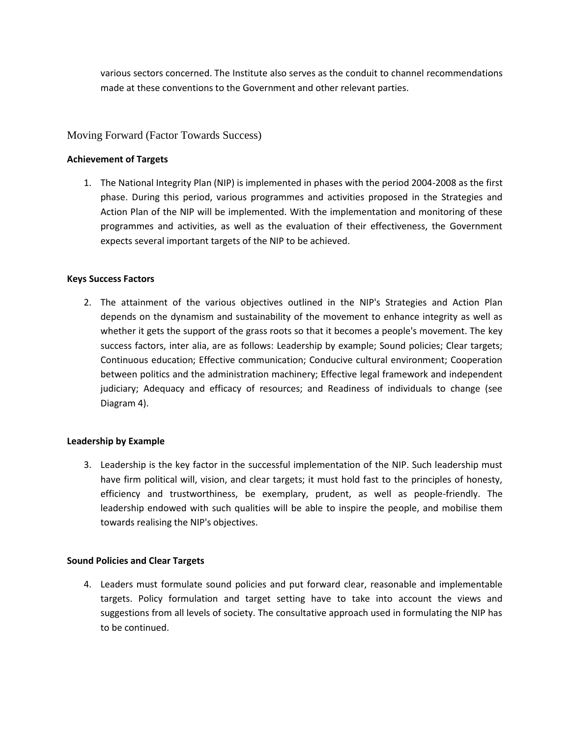various sectors concerned. The Institute also serves as the conduit to channel recommendations made at these conventions to the Government and other relevant parties.

# Moving Forward (Factor Towards Success)

## **Achievement of Targets**

1. The National Integrity Plan (NIP) is implemented in phases with the period 2004-2008 as the first phase. During this period, various programmes and activities proposed in the Strategies and Action Plan of the NIP will be implemented. With the implementation and monitoring of these programmes and activities, as well as the evaluation of their effectiveness, the Government expects several important targets of the NIP to be achieved.

# **Keys Success Factors**

2. The attainment of the various objectives outlined in the NIP's Strategies and Action Plan depends on the dynamism and sustainability of the movement to enhance integrity as well as whether it gets the support of the grass roots so that it becomes a people's movement. The key success factors, inter alia, are as follows: Leadership by example; Sound policies; Clear targets; Continuous education; Effective communication; Conducive cultural environment; Cooperation between politics and the administration machinery; Effective legal framework and independent judiciary; Adequacy and efficacy of resources; and Readiness of individuals to change (see Diagram 4).

#### **Leadership by Example**

3. Leadership is the key factor in the successful implementation of the NIP. Such leadership must have firm political will, vision, and clear targets; it must hold fast to the principles of honesty, efficiency and trustworthiness, be exemplary, prudent, as well as people-friendly. The leadership endowed with such qualities will be able to inspire the people, and mobilise them towards realising the NIP's objectives.

#### **Sound Policies and Clear Targets**

4. Leaders must formulate sound policies and put forward clear, reasonable and implementable targets. Policy formulation and target setting have to take into account the views and suggestions from all levels of society. The consultative approach used in formulating the NIP has to be continued.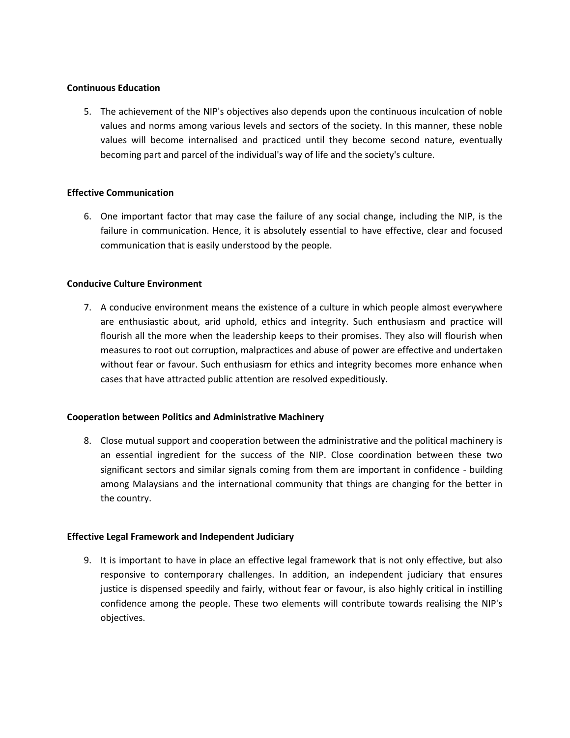#### **Continuous Education**

5. The achievement of the NIP's objectives also depends upon the continuous inculcation of noble values and norms among various levels and sectors of the society. In this manner, these noble values will become internalised and practiced until they become second nature, eventually becoming part and parcel of the individual's way of life and the society's culture.

#### **Effective Communication**

6. One important factor that may case the failure of any social change, including the NIP, is the failure in communication. Hence, it is absolutely essential to have effective, clear and focused communication that is easily understood by the people.

#### **Conducive Culture Environment**

7. A conducive environment means the existence of a culture in which people almost everywhere are enthusiastic about, arid uphold, ethics and integrity. Such enthusiasm and practice will flourish all the more when the leadership keeps to their promises. They also will flourish when measures to root out corruption, malpractices and abuse of power are effective and undertaken without fear or favour. Such enthusiasm for ethics and integrity becomes more enhance when cases that have attracted public attention are resolved expeditiously.

#### **Cooperation between Politics and Administrative Machinery**

8. Close mutual support and cooperation between the administrative and the political machinery is an essential ingredient for the success of the NIP. Close coordination between these two significant sectors and similar signals coming from them are important in confidence - building among Malaysians and the international community that things are changing for the better in the country.

#### **Effective Legal Framework and Independent Judiciary**

9. It is important to have in place an effective legal framework that is not only effective, but also responsive to contemporary challenges. In addition, an independent judiciary that ensures justice is dispensed speedily and fairly, without fear or favour, is also highly critical in instilling confidence among the people. These two elements will contribute towards realising the NIP's objectives.